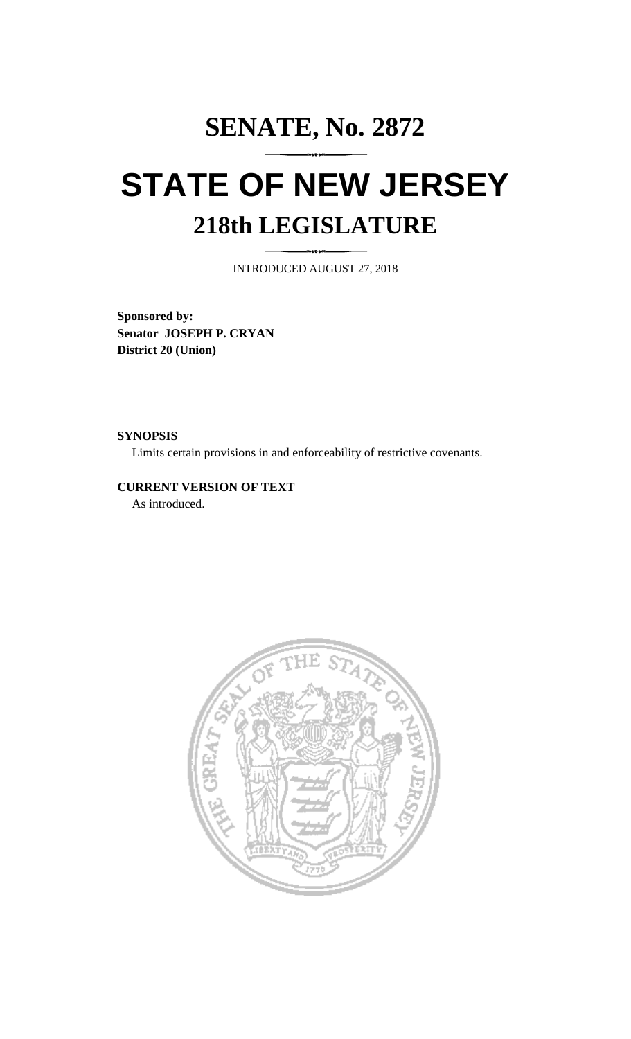## **SENATE, No. 2872 STATE OF NEW JERSEY 218th LEGISLATURE**

INTRODUCED AUGUST 27, 2018

**Sponsored by: Senator JOSEPH P. CRYAN District 20 (Union)**

**SYNOPSIS**

Limits certain provisions in and enforceability of restrictive covenants.

**CURRENT VERSION OF TEXT**  As introduced.

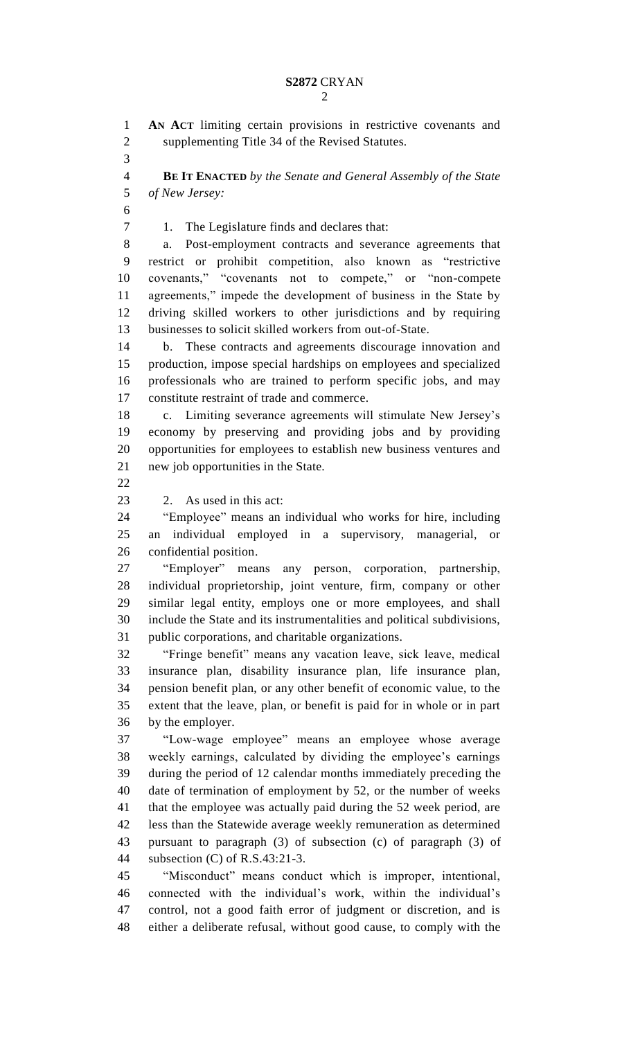## **S2872** CRYAN

 **AN ACT** limiting certain provisions in restrictive covenants and supplementing Title 34 of the Revised Statutes. **BE IT ENACTED** *by the Senate and General Assembly of the State of New Jersey:* 1. The Legislature finds and declares that: a. Post-employment contracts and severance agreements that restrict or prohibit competition, also known as "restrictive covenants," "covenants not to compete," or "non-compete agreements," impede the development of business in the State by driving skilled workers to other jurisdictions and by requiring businesses to solicit skilled workers from out-of-State. b. These contracts and agreements discourage innovation and production, impose special hardships on employees and specialized professionals who are trained to perform specific jobs, and may constitute restraint of trade and commerce. c. Limiting severance agreements will stimulate New Jersey's economy by preserving and providing jobs and by providing opportunities for employees to establish new business ventures and new job opportunities in the State. 2. As used in this act: "Employee" means an individual who works for hire, including an individual employed in a supervisory, managerial, or confidential position. "Employer" means any person, corporation, partnership, individual proprietorship, joint venture, firm, company or other similar legal entity, employs one or more employees, and shall include the State and its instrumentalities and political subdivisions, public corporations, and charitable organizations. "Fringe benefit" means any vacation leave, sick leave, medical insurance plan, disability insurance plan, life insurance plan, pension benefit plan, or any other benefit of economic value, to the extent that the leave, plan, or benefit is paid for in whole or in part by the employer. "Low-wage employee" means an employee whose average weekly earnings, calculated by dividing the employee's earnings during the period of 12 calendar months immediately preceding the date of termination of employment by 52, or the number of weeks that the employee was actually paid during the 52 week period, are less than the Statewide average weekly remuneration as determined pursuant to paragraph (3) of subsection (c) of paragraph (3) of subsection (C) of R.S.43:21-3. "Misconduct" means conduct which is improper, intentional, connected with the individual's work, within the individual's control, not a good faith error of judgment or discretion, and is either a deliberate refusal, without good cause, to comply with the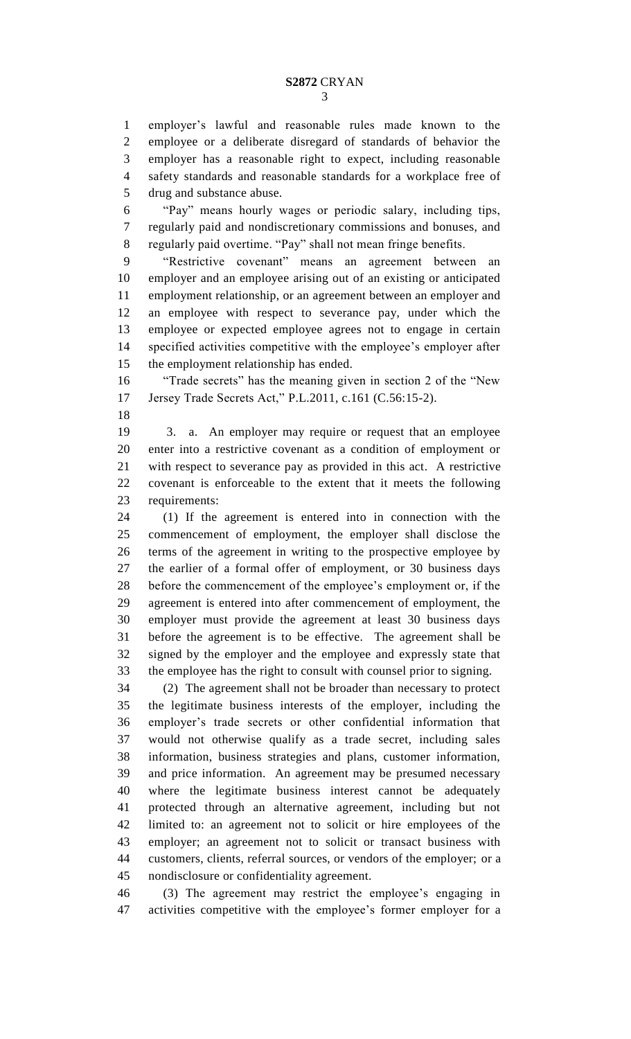employer's lawful and reasonable rules made known to the employee or a deliberate disregard of standards of behavior the employer has a reasonable right to expect, including reasonable safety standards and reasonable standards for a workplace free of drug and substance abuse.

 "Pay" means hourly wages or periodic salary, including tips, regularly paid and nondiscretionary commissions and bonuses, and regularly paid overtime. "Pay" shall not mean fringe benefits.

 "Restrictive covenant" means an agreement between an employer and an employee arising out of an existing or anticipated employment relationship, or an agreement between an employer and an employee with respect to severance pay, under which the employee or expected employee agrees not to engage in certain specified activities competitive with the employee's employer after the employment relationship has ended.

 "Trade secrets" has the meaning given in section 2 of the "New Jersey Trade Secrets Act," P.L.2011, c.161 (C.56:15-2).

 3. a. An employer may require or request that an employee enter into a restrictive covenant as a condition of employment or with respect to severance pay as provided in this act. A restrictive covenant is enforceable to the extent that it meets the following requirements:

 (1) If the agreement is entered into in connection with the commencement of employment, the employer shall disclose the terms of the agreement in writing to the prospective employee by the earlier of a formal offer of employment, or 30 business days before the commencement of the employee's employment or, if the agreement is entered into after commencement of employment, the employer must provide the agreement at least 30 business days before the agreement is to be effective. The agreement shall be signed by the employer and the employee and expressly state that the employee has the right to consult with counsel prior to signing.

 (2) The agreement shall not be broader than necessary to protect the legitimate business interests of the employer, including the employer's trade secrets or other confidential information that would not otherwise qualify as a trade secret, including sales information, business strategies and plans, customer information, and price information. An agreement may be presumed necessary where the legitimate business interest cannot be adequately protected through an alternative agreement, including but not limited to: an agreement not to solicit or hire employees of the employer; an agreement not to solicit or transact business with customers, clients, referral sources, or vendors of the employer; or a nondisclosure or confidentiality agreement.

 (3) The agreement may restrict the employee's engaging in activities competitive with the employee's former employer for a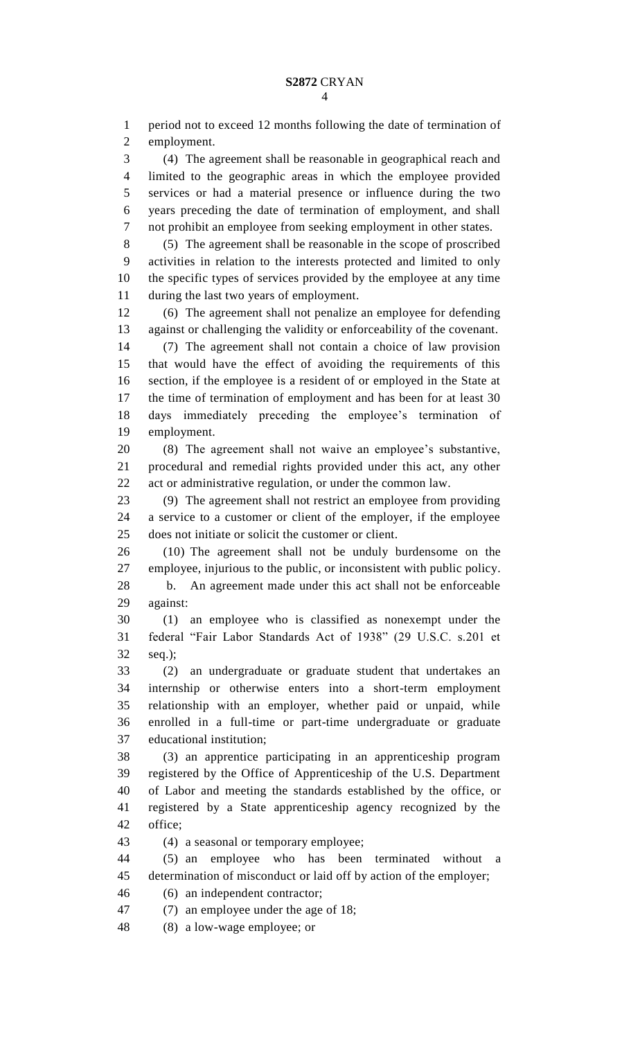period not to exceed 12 months following the date of termination of employment. (4) The agreement shall be reasonable in geographical reach and limited to the geographic areas in which the employee provided services or had a material presence or influence during the two years preceding the date of termination of employment, and shall not prohibit an employee from seeking employment in other states. (5) The agreement shall be reasonable in the scope of proscribed activities in relation to the interests protected and limited to only the specific types of services provided by the employee at any time during the last two years of employment. (6) The agreement shall not penalize an employee for defending against or challenging the validity or enforceability of the covenant. (7) The agreement shall not contain a choice of law provision that would have the effect of avoiding the requirements of this section, if the employee is a resident of or employed in the State at the time of termination of employment and has been for at least 30 days immediately preceding the employee's termination of employment. (8) The agreement shall not waive an employee's substantive, procedural and remedial rights provided under this act, any other act or administrative regulation, or under the common law. (9) The agreement shall not restrict an employee from providing a service to a customer or client of the employer, if the employee does not initiate or solicit the customer or client. (10) The agreement shall not be unduly burdensome on the employee, injurious to the public, or inconsistent with public policy. b. An agreement made under this act shall not be enforceable against: (1) an employee who is classified as nonexempt under the federal "Fair Labor Standards Act of 1938" (29 U.S.C. s.201 et seq.); (2) an undergraduate or graduate student that undertakes an internship or otherwise enters into a short-term employment relationship with an employer, whether paid or unpaid, while enrolled in a full-time or part-time undergraduate or graduate educational institution; (3) an apprentice participating in an apprenticeship program registered by the Office of Apprenticeship of the U.S. Department of Labor and meeting the standards established by the office, or registered by a State apprenticeship agency recognized by the office; (4) a seasonal or temporary employee; (5) an employee who has been terminated without a determination of misconduct or laid off by action of the employer; (6) an independent contractor; (7) an employee under the age of 18; (8) a low-wage employee; or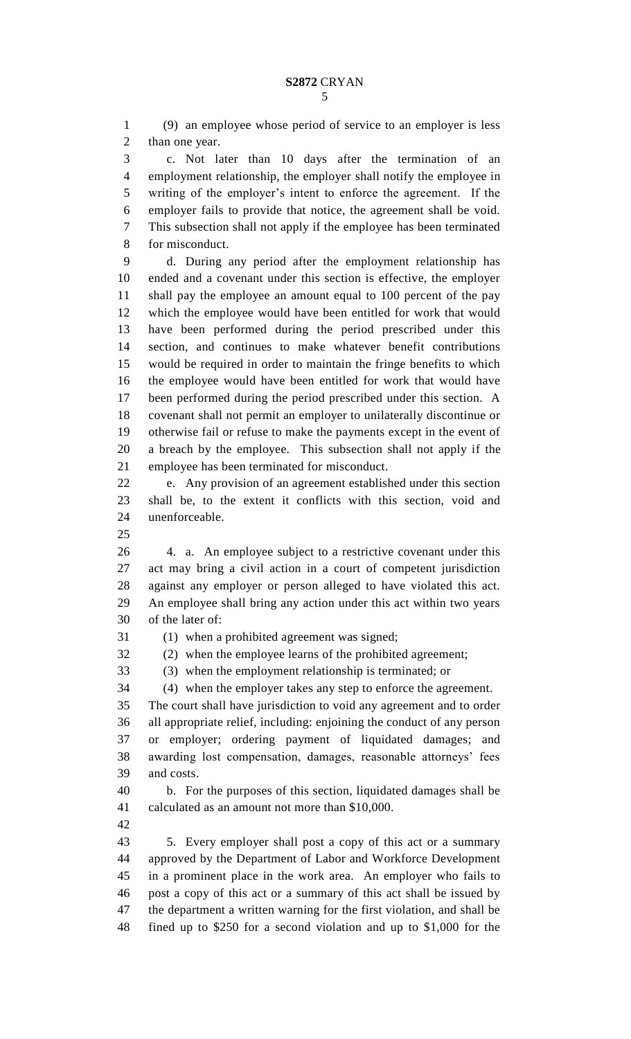(9) an employee whose period of service to an employer is less than one year. c. Not later than 10 days after the termination of an employment relationship, the employer shall notify the employee in writing of the employer's intent to enforce the agreement. If the employer fails to provide that notice, the agreement shall be void. This subsection shall not apply if the employee has been terminated for misconduct. d. During any period after the employment relationship has ended and a covenant under this section is effective, the employer shall pay the employee an amount equal to 100 percent of the pay which the employee would have been entitled for work that would have been performed during the period prescribed under this section, and continues to make whatever benefit contributions would be required in order to maintain the fringe benefits to which the employee would have been entitled for work that would have been performed during the period prescribed under this section. A covenant shall not permit an employer to unilaterally discontinue or otherwise fail or refuse to make the payments except in the event of a breach by the employee. This subsection shall not apply if the employee has been terminated for misconduct. e. Any provision of an agreement established under this section

 shall be, to the extent it conflicts with this section, void and unenforceable.

 4. a. An employee subject to a restrictive covenant under this act may bring a civil action in a court of competent jurisdiction against any employer or person alleged to have violated this act. An employee shall bring any action under this act within two years of the later of:

(1) when a prohibited agreement was signed;

(2) when the employee learns of the prohibited agreement;

(3) when the employment relationship is terminated; or

(4) when the employer takes any step to enforce the agreement.

 The court shall have jurisdiction to void any agreement and to order all appropriate relief, including: enjoining the conduct of any person or employer; ordering payment of liquidated damages; and awarding lost compensation, damages, reasonable attorneys' fees and costs.

 b. For the purposes of this section, liquidated damages shall be calculated as an amount not more than \$10,000.

 5. Every employer shall post a copy of this act or a summary approved by the Department of Labor and Workforce Development in a prominent place in the work area. An employer who fails to post a copy of this act or a summary of this act shall be issued by the department a written warning for the first violation, and shall be fined up to \$250 for a second violation and up to \$1,000 for the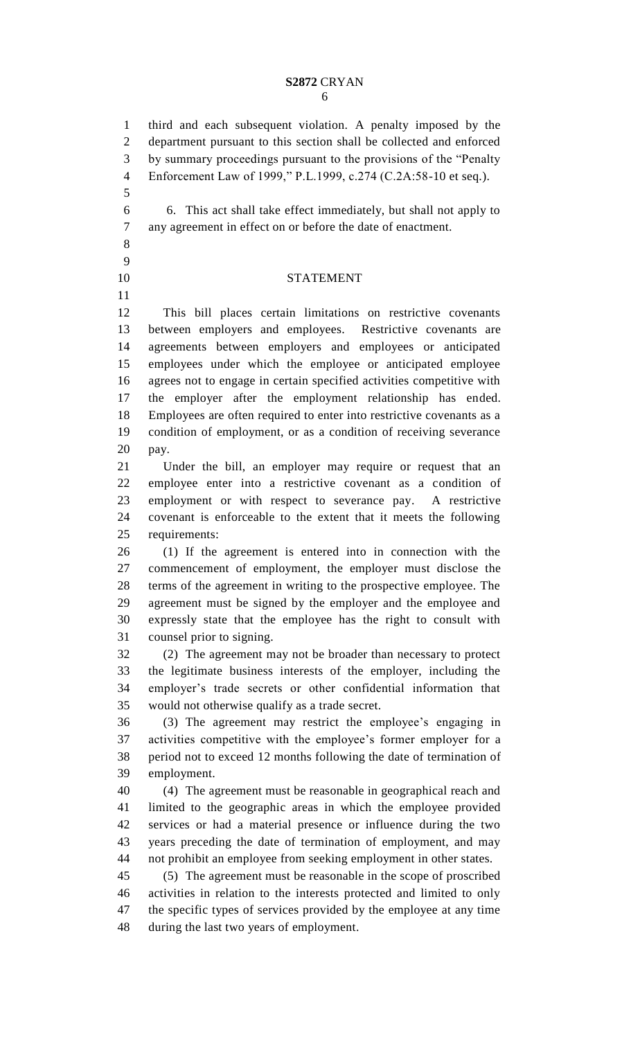## **S2872** CRYAN

 third and each subsequent violation. A penalty imposed by the department pursuant to this section shall be collected and enforced

 by summary proceedings pursuant to the provisions of the "Penalty Enforcement Law of 1999," P.L.1999, c.274 (C.2A:58-10 et seq.). 6. This act shall take effect immediately, but shall not apply to any agreement in effect on or before the date of enactment. STATEMENT This bill places certain limitations on restrictive covenants between employers and employees. Restrictive covenants are agreements between employers and employees or anticipated employees under which the employee or anticipated employee agrees not to engage in certain specified activities competitive with the employer after the employment relationship has ended. Employees are often required to enter into restrictive covenants as a condition of employment, or as a condition of receiving severance pay. Under the bill, an employer may require or request that an employee enter into a restrictive covenant as a condition of employment or with respect to severance pay. A restrictive covenant is enforceable to the extent that it meets the following requirements: (1) If the agreement is entered into in connection with the commencement of employment, the employer must disclose the terms of the agreement in writing to the prospective employee. The agreement must be signed by the employer and the employee and expressly state that the employee has the right to consult with counsel prior to signing. (2) The agreement may not be broader than necessary to protect the legitimate business interests of the employer, including the employer's trade secrets or other confidential information that would not otherwise qualify as a trade secret. (3) The agreement may restrict the employee's engaging in activities competitive with the employee's former employer for a

 period not to exceed 12 months following the date of termination of employment. (4) The agreement must be reasonable in geographical reach and

 limited to the geographic areas in which the employee provided services or had a material presence or influence during the two years preceding the date of termination of employment, and may not prohibit an employee from seeking employment in other states.

 (5) The agreement must be reasonable in the scope of proscribed activities in relation to the interests protected and limited to only the specific types of services provided by the employee at any time during the last two years of employment.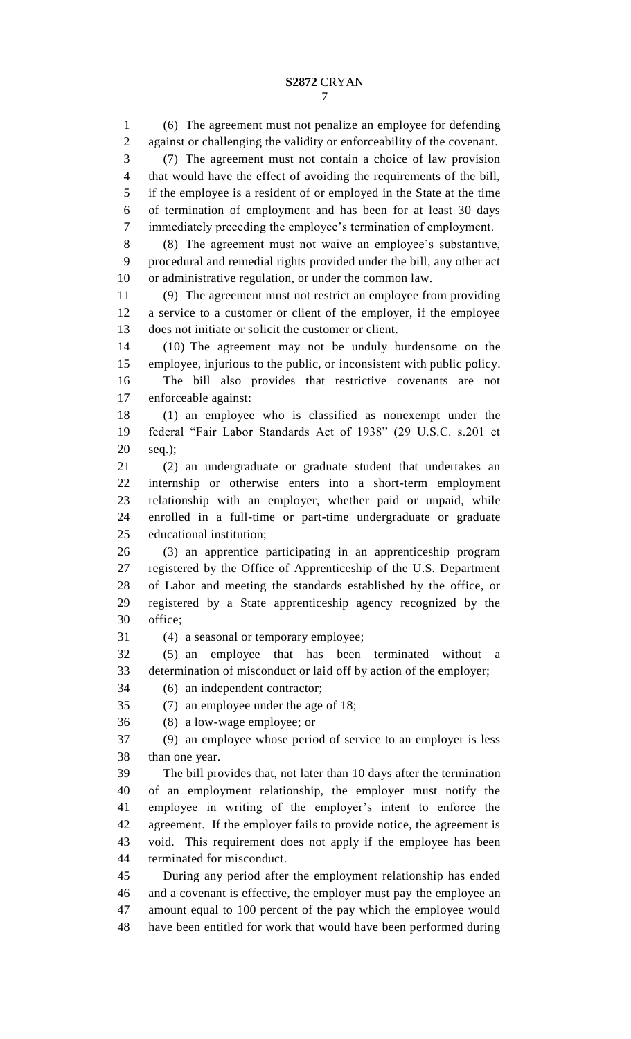(6) The agreement must not penalize an employee for defending against or challenging the validity or enforceability of the covenant. (7) The agreement must not contain a choice of law provision that would have the effect of avoiding the requirements of the bill, if the employee is a resident of or employed in the State at the time of termination of employment and has been for at least 30 days immediately preceding the employee's termination of employment. (8) The agreement must not waive an employee's substantive, procedural and remedial rights provided under the bill, any other act or administrative regulation, or under the common law. (9) The agreement must not restrict an employee from providing a service to a customer or client of the employer, if the employee does not initiate or solicit the customer or client. (10) The agreement may not be unduly burdensome on the employee, injurious to the public, or inconsistent with public policy. The bill also provides that restrictive covenants are not enforceable against: (1) an employee who is classified as nonexempt under the federal "Fair Labor Standards Act of 1938" (29 U.S.C. s.201 et seq.); (2) an undergraduate or graduate student that undertakes an internship or otherwise enters into a short-term employment relationship with an employer, whether paid or unpaid, while enrolled in a full-time or part-time undergraduate or graduate educational institution; (3) an apprentice participating in an apprenticeship program registered by the Office of Apprenticeship of the U.S. Department of Labor and meeting the standards established by the office, or registered by a State apprenticeship agency recognized by the office; (4) a seasonal or temporary employee; (5) an employee that has been terminated without a determination of misconduct or laid off by action of the employer; (6) an independent contractor; (7) an employee under the age of 18; (8) a low-wage employee; or (9) an employee whose period of service to an employer is less than one year. The bill provides that, not later than 10 days after the termination of an employment relationship, the employer must notify the employee in writing of the employer's intent to enforce the agreement. If the employer fails to provide notice, the agreement is void. This requirement does not apply if the employee has been terminated for misconduct. During any period after the employment relationship has ended and a covenant is effective, the employer must pay the employee an amount equal to 100 percent of the pay which the employee would have been entitled for work that would have been performed during